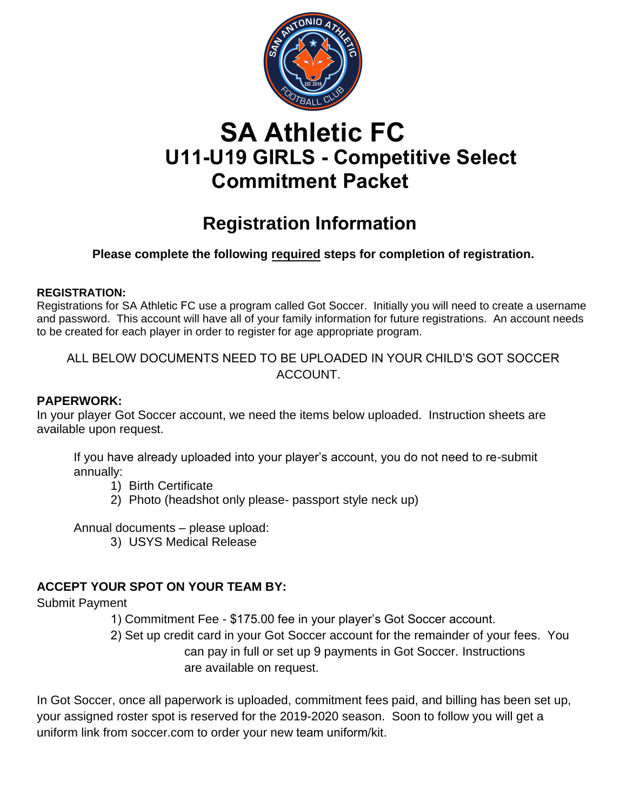

# **SA Athletic FC U11-U19 GIRLS - Competitive Select Commitment Packet**

## **Registration Information**

## **Please complete the following required steps for completion of registration.**

### **REGISTRATION:**

Registrations for SA Athletic FC use a program called Got Soccer. Initially you will need to create a username and password. This account will have all of your family information for future registrations. An account needs to be created for each player in order to register for age appropriate program.

ALL BELOW DOCUMENTS NEED TO BE UPLOADED IN YOUR CHILD'S GOT SOCCER ACCOUNT.

## **PAPERWORK:**

In your player Got Soccer account, we need the items below uploaded. Instruction sheets are available upon request.

If you have already uploaded into your player's account, you do not need to re-submit annually:

- 1) Birth Certificate
- 2) Photo (headshot only please- passport style neck up)

Annual documents – please upload:

3) USYS Medical Release

## **ACCEPT YOUR SPOT ON YOUR TEAM BY:**

Submit Payment

- 1) Commitment Fee \$175.00 fee in your player's Got Soccer account.
- 2) Set up credit card in your Got Soccer account for the remainder of your fees. You can pay in full or set up 9 payments in Got Soccer. Instructions are available on request.

In Got Soccer, once all paperwork is uploaded, commitment fees paid, and billing has been set up, your assigned roster spot is reserved for the 2019-2020 season. Soon to follow you will get a uniform link from soccer.com to order your new team uniform/kit.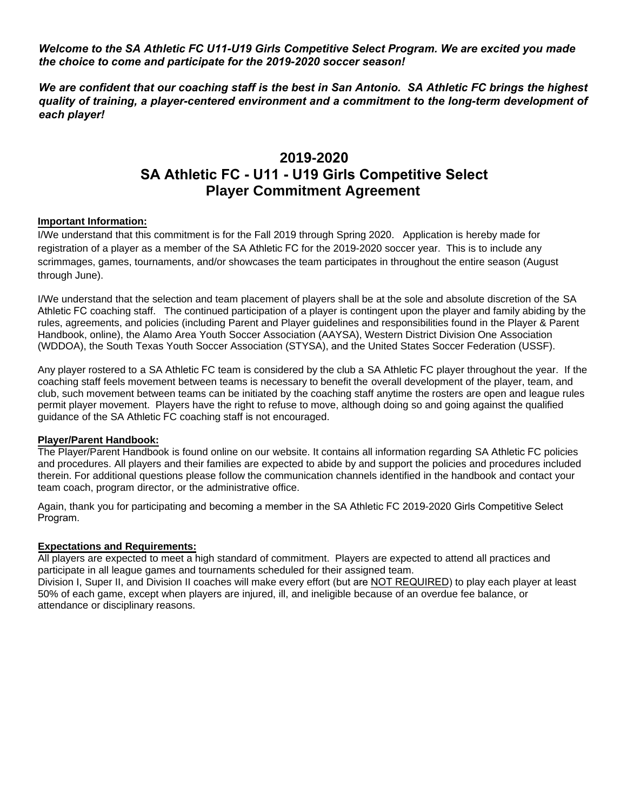*Welcome to the SA Athletic FC U11-U19 Girls Competitive Select Program. We are excited you made the choice to come and participate for the 2019-2020 soccer season!*

*We are confident that our coaching staff is the best in San Antonio. SA Athletic FC brings the highest quality of training, a player-centered environment and a commitment to the long-term development of each player!* 

## **2019-2020 SA Athletic FC - U11 - U19 Girls Competitive Select Player Commitment Agreement**

#### **Important Information:**

I/We understand that this commitment is for the Fall 2019 through Spring 2020. Application is hereby made for registration of a player as a member of the SA Athletic FC for the 2019-2020 soccer year. This is to include any scrimmages, games, tournaments, and/or showcases the team participates in throughout the entire season (August through June).

I/We understand that the selection and team placement of players shall be at the sole and absolute discretion of the SA Athletic FC coaching staff. The continued participation of a player is contingent upon the player and family abiding by the rules, agreements, and policies (including Parent and Player guidelines and responsibilities found in the Player & Parent Handbook, online), the Alamo Area Youth Soccer Association (AAYSA), Western District Division One Association (WDDOA), the South Texas Youth Soccer Association (STYSA), and the United States Soccer Federation (USSF).

Any player rostered to a SA Athletic FC team is considered by the club a SA Athletic FC player throughout the year. If the coaching staff feels movement between teams is necessary to benefit the overall development of the player, team, and club, such movement between teams can be initiated by the coaching staff anytime the rosters are open and league rules permit player movement. Players have the right to refuse to move, although doing so and going against the qualified guidance of the SA Athletic FC coaching staff is not encouraged.

#### **Player/Parent Handbook:**

The Player/Parent Handbook is found online on our website. It contains all information regarding SA Athletic FC policies and procedures. All players and their families are expected to abide by and support the policies and procedures included therein. For additional questions please follow the communication channels identified in the handbook and contact your team coach, program director, or the administrative office.

Again, thank you for participating and becoming a member in the SA Athletic FC 2019-2020 Girls Competitive Select Program.

#### **Expectations and Requirements:**

All players are expected to meet a high standard of commitment. Players are expected to attend all practices and participate in all league games and tournaments scheduled for their assigned team.

Division I, Super II, and Division II coaches will make every effort (but are NOT REQUIRED) to play each player at least 50% of each game, except when players are injured, ill, and ineligible because of an overdue fee balance, or attendance or disciplinary reasons.